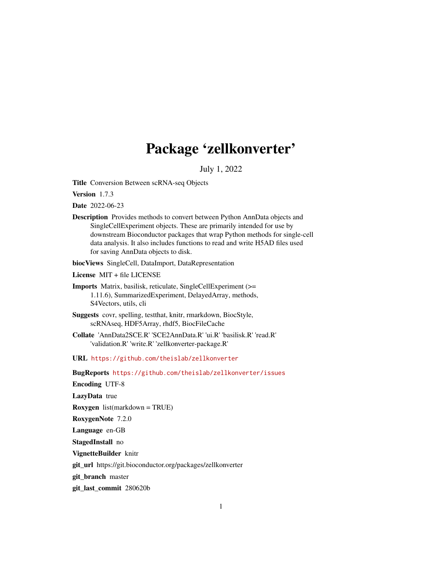# Package 'zellkonverter'

July 1, 2022

<span id="page-0-0"></span>Title Conversion Between scRNA-seq Objects

Version 1.7.3

Date 2022-06-23

Description Provides methods to convert between Python AnnData objects and SingleCellExperiment objects. These are primarily intended for use by downstream Bioconductor packages that wrap Python methods for single-cell data analysis. It also includes functions to read and write H5AD files used for saving AnnData objects to disk.

biocViews SingleCell, DataImport, DataRepresentation

License MIT + file LICENSE

- Imports Matrix, basilisk, reticulate, SingleCellExperiment (>= 1.11.6), SummarizedExperiment, DelayedArray, methods, S4Vectors, utils, cli
- Suggests covr, spelling, testthat, knitr, rmarkdown, BiocStyle, scRNAseq, HDF5Array, rhdf5, BiocFileCache
- Collate 'AnnData2SCE.R' 'SCE2AnnData.R' 'ui.R' 'basilisk.R' 'read.R' 'validation.R' 'write.R' 'zellkonverter-package.R'

URL <https://github.com/theislab/zellkonverter>

BugReports <https://github.com/theislab/zellkonverter/issues>

Encoding UTF-8

LazyData true

Roxygen list(markdown = TRUE)

RoxygenNote 7.2.0

Language en-GB

StagedInstall no

VignetteBuilder knitr

git\_url https://git.bioconductor.org/packages/zellkonverter

git\_branch master

git\_last\_commit 280620b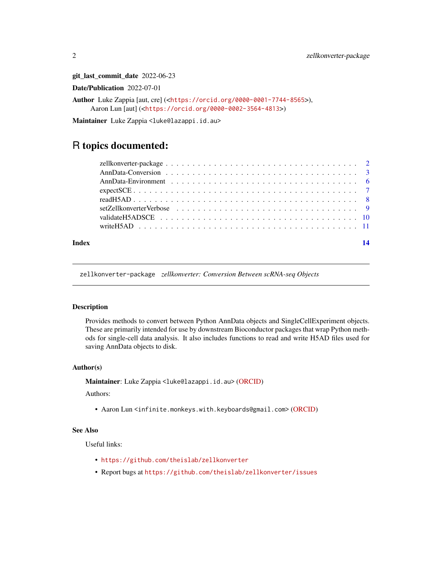git\_last\_commit\_date 2022-06-23

Date/Publication 2022-07-01

Author Luke Zappia [aut, cre] (<<https://orcid.org/0000-0001-7744-8565>>), Aaron Lun [aut] (<<https://orcid.org/0000-0002-3564-4813>>)

Maintainer Luke Zappia <luke@lazappi.id.au>

# R topics documented:

| Index | 14 |
|-------|----|
|       |    |
|       |    |
|       |    |
|       |    |
|       |    |
|       |    |
|       |    |
|       |    |

zellkonverter-package *zellkonverter: Conversion Between scRNA-seq Objects*

# Description

Provides methods to convert between Python AnnData objects and SingleCellExperiment objects. These are primarily intended for use by downstream Bioconductor packages that wrap Python methods for single-cell data analysis. It also includes functions to read and write H5AD files used for saving AnnData objects to disk.

### Author(s)

Maintainer: Luke Zappia <luke@lazappi.id.au> [\(ORCID\)](https://orcid.org/0000-0001-7744-8565)

Authors:

• Aaron Lun <infinite.monkeys.with.keyboards@gmail.com> [\(ORCID\)](https://orcid.org/0000-0002-3564-4813)

### See Also

Useful links:

- <https://github.com/theislab/zellkonverter>
- Report bugs at <https://github.com/theislab/zellkonverter/issues>

<span id="page-1-0"></span>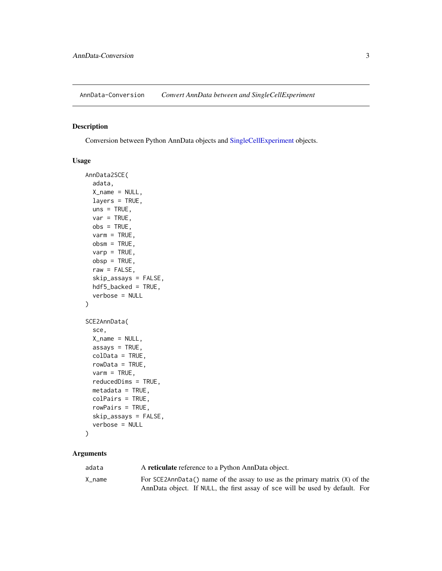<span id="page-2-0"></span>AnnData-Conversion *Convert AnnData between and SingleCellExperiment*

# <span id="page-2-1"></span>Description

Conversion between Python AnnData objects and [SingleCellExperiment](#page-0-0) objects.

# Usage

```
AnnData2SCE(
  adata,
  X<sub>name</sub> = NULL,
  layers = TRUE,
  uns = TRUE,var = TRUE,obs = TRUE,varm = TRUE,obsm = TRUE,varp = TRUE,obsp = TRUE,raw = FALSE,
  skip_assays = FALSE,
 hdf5_backed = TRUE,
  verbose = NULL
)
SCE2AnnData(
  sce,
 X_name = NULL,assays = TRUE,
  colData = TRUE,
  rowData = TRUE,
  varm = TRUE,reducedDims = TRUE,
 metadata = TRUE,colPairs = TRUE,
  rowPairs = TRUE,
  skip_assays = FALSE,
  verbose = NULL
)
```
# Arguments

| adata  | A reticulate reference to a Python AnnData object.                            |
|--------|-------------------------------------------------------------------------------|
| X name | For SCE2AnnData() name of the assay to use as the primary matrix $(X)$ of the |
|        | AnnData object. If NULL, the first assay of sce will be used by default. For  |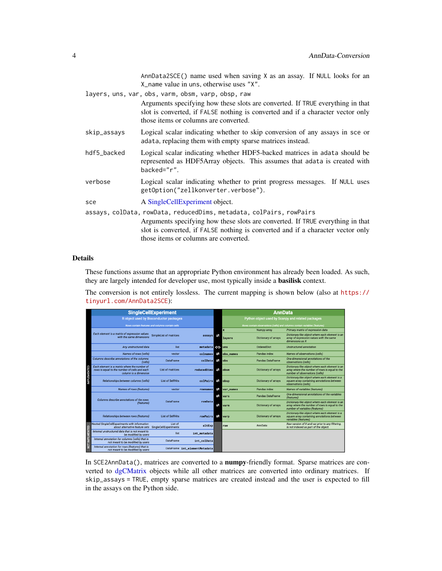AnnData2SCE() name used when saving X as an assay. If NULL looks for an X\_name value in uns, otherwise uses "X".

<span id="page-3-0"></span>

|             | layers, uns, var, obs, varm, obsm, varp, obsp, raw                                                                                                                                                         |
|-------------|------------------------------------------------------------------------------------------------------------------------------------------------------------------------------------------------------------|
|             | Arguments specifying how these slots are converted. If TRUE everything in that<br>slot is converted, if FALSE nothing is converted and if a character vector only<br>those items or columns are converted. |
| skip_assays | Logical scalar indicating whether to skip conversion of any assays in sce or<br>adata, replacing them with empty sparse matrices instead.                                                                  |
| hdf5_backed | Logical scalar indicating whether HDF5-backed matrices in adata should be<br>represented as HDF5Array objects. This assumes that adata is created with<br>backed="r".                                      |
| verbose     | Logical scalar indicating whether to print progress messages. If NULL uses<br>getOption("zellkonverter.verbose").                                                                                          |
| sce         | A Single Cell Experiment object.                                                                                                                                                                           |
|             | assays, colData, rowData, reducedDims, metadata, colPairs, rowPairs                                                                                                                                        |
|             | Arguments specifying how these slots are converted. If TRUE everything in that<br>slot is converted, if FALSE nothing is converted and if a character vector only<br>those items or columns are converted. |

# Details

These functions assume that an appropriate Python environment has already been loaded. As such, they are largely intended for developer use, most typically inside a basilisk context.

The conversion is not entirely lossless. The current mapping is shown below (also at [https://](https://tinyurl.com/AnnData2SCE) [tinyurl.com/AnnData2SCE](https://tinyurl.com/AnnData2SCE)):

|                    | <b>SingleCellExperiment</b>                                                                                            |                                                 |                               |     | <b>AnnData</b>                                                             |                             |                                                                                                                                     |
|--------------------|------------------------------------------------------------------------------------------------------------------------|-------------------------------------------------|-------------------------------|-----|----------------------------------------------------------------------------|-----------------------------|-------------------------------------------------------------------------------------------------------------------------------------|
|                    | R object used by Bioconductor packages                                                                                 |                                                 |                               |     | Python object used by Scanpy and related packages                          |                             |                                                                                                                                     |
|                    |                                                                                                                        | Rows contain features and columns contain cells |                               |     | Rows contain observations (cells) and columns contain variables (features) |                             |                                                                                                                                     |
|                    |                                                                                                                        |                                                 |                               |     | $\mathbf{x}$                                                               | Numpy array                 | Primary matrix of expression data                                                                                                   |
|                    | Each element is a matrix of expression values<br>with the same dimensions                                              | <b>SimpleList of matrices</b>                   | assays                        |     | lavers                                                                     | <b>Dictionary of arrays</b> | Dictionary-like object where each element is an<br>array of expression values with the same<br>dimensions as X                      |
|                    | Any unstructured data                                                                                                  | list                                            | $metadata \Leftrightarrow$    |     | uns                                                                        | OrderedDict                 | <b>Unstructured annotation</b>                                                                                                      |
|                    | Names of rows (cells)                                                                                                  | vector                                          | colnames                      | ≠≥  | obs names                                                                  | Pandas index                | Names of observations (cells)                                                                                                       |
|                    | Columns describe annotations of the columns<br>(cells)                                                                 | DataFrame                                       | $colData$ $F2$                |     | <b>obs</b>                                                                 | <b>Pandas DataFrame</b>     | One-dimensional annotations of the<br>observations (cells)                                                                          |
| <b>IMPLEMENTED</b> | Each element is a matrix where the number of<br>rows is equal to the number of cells and each<br>column is a dimension | List of matrices                                | reducedDims                   |     | obsm                                                                       | <b>Dictionary of arrays</b> | Dictionary-like object where each element is an<br>array where the number of rows is equal to the<br>number of observations (cells) |
|                    | Relationships between columns (cells)                                                                                  | <b>List of SelfHits</b>                         | colPairs                      |     | obsp                                                                       | Dictionary of arrays        | Dictionary-like object where each element is a<br>square array containing annotations between<br>observations (cells)               |
|                    | Names of rows (features)                                                                                               | vector                                          | rownames                      | 귣   | var names                                                                  | Pandas index                | Names of variables (features)                                                                                                       |
|                    | Columns describe annotations of the rows                                                                               |                                                 |                               | zż. | vars                                                                       | Pandas DataFrame            | One-dimensional annotations of the variables<br>(features)                                                                          |
|                    | (features)                                                                                                             | DataFrame                                       | rowData                       | z   | varm                                                                       | Dictionary of arrays        | Dictionary-like object where each element is an<br>array where the number of rows is equal to the<br>number of variables (features) |
|                    | Relationships between rows (features)                                                                                  | <b>List of SelfHits</b>                         | rowPairs                      |     | varo                                                                       | <b>Dictionary of arrays</b> | Dictionary-like object where each element is a<br>square array containing annotations between<br>variables (features)               |
|                    | Nested SingleCellExperiments with information<br>about alternative feature sets SingleCellExperiments                  | List of                                         | altExp                        |     | raw                                                                        | AnnData                     | Raw version of X and var prior to any filtering.<br>Is not indexed as part of the object.                                           |
|                    | Internal unstructured data that is not meant to<br>be modified by users                                                | list                                            | int_metadata                  |     |                                                                            |                             |                                                                                                                                     |
| NOT IMPLMENTED     | Internal annotation for columns (cells) that is<br>not meant to be modified by users                                   | DataFrame                                       | int colData                   |     |                                                                            |                             |                                                                                                                                     |
|                    | Internal annotation for rows (features) that is<br>not meant to be modified by users                                   |                                                 | DataFrame int_elementMetadata |     |                                                                            |                             |                                                                                                                                     |

In SCE2AnnData(), matrices are converted to a **numpy**-friendly format. Sparse matrices are converted to [dgCMatrix](#page-0-0) objects while all other matrices are converted into ordinary matrices. If skip\_assays = TRUE, empty sparse matrices are created instead and the user is expected to fill in the assays on the Python side.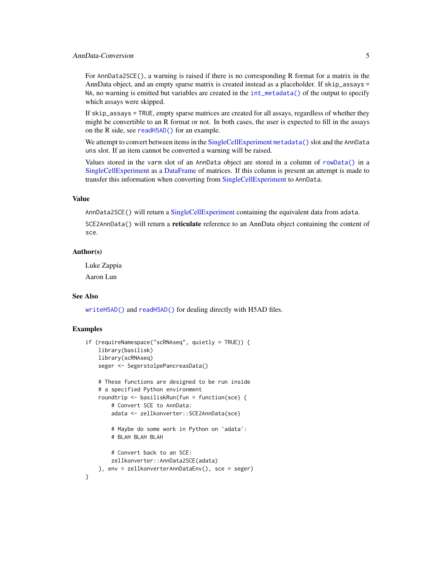# <span id="page-4-0"></span>AnnData-Conversion 5

For AnnData2SCE(), a warning is raised if there is no corresponding R format for a matrix in the AnnData object, and an empty sparse matrix is created instead as a placeholder. If skip\_assays = NA, no warning is emitted but variables are created in the  $int_{\text{metadata}}()$  of the output to specify which assays were skipped.

If skip\_assays = TRUE, empty sparse matrices are created for all assays, regardless of whether they might be convertible to an R format or not. In both cases, the user is expected to fill in the assays on the R side, see [readH5AD\(\)](#page-7-1) for an example.

We attempt to convert between items in the [SingleCellExperiment](#page-0-0) [metadata\(\)](#page-0-0) slot and the AnnData uns slot. If an item cannot be converted a warning will be raised.

Values stored in the varm slot of an AnnData object are stored in a column of [rowData\(\)](#page-0-0) in a [SingleCellExperiment](#page-0-0) as a [DataFrame](#page-0-0) of matrices. If this column is present an attempt is made to transfer this information when converting from [SingleCellExperiment](#page-0-0) to AnnData.

# Value

AnnData2SCE() will return a [SingleCellExperiment](#page-0-0) containing the equivalent data from adata.

SCE2AnnData() will return a **reticulate** reference to an AnnData object containing the content of sce.

# Author(s)

Luke Zappia

Aaron Lun

# See Also

[writeH5AD\(\)](#page-10-1) and [readH5AD\(\)](#page-7-1) for dealing directly with H5AD files.

#### Examples

```
if (requireNamespace("scRNAseq", quietly = TRUE)) {
   library(basilisk)
   library(scRNAseq)
   seger <- SegerstolpePancreasData()
   # These functions are designed to be run inside
   # a specified Python environment
   roundtrip <- basiliskRun(fun = function(sce) {
       # Convert SCE to AnnData:
       adata <- zellkonverter::SCE2AnnData(sce)
       # Maybe do some work in Python on 'adata':
        # BLAH BLAH BLAH
        # Convert back to an SCE:
       zellkonverter::AnnData2SCE(adata)
   }, env = zellkonverterAnnDataEnv(), sce = seger)
}
```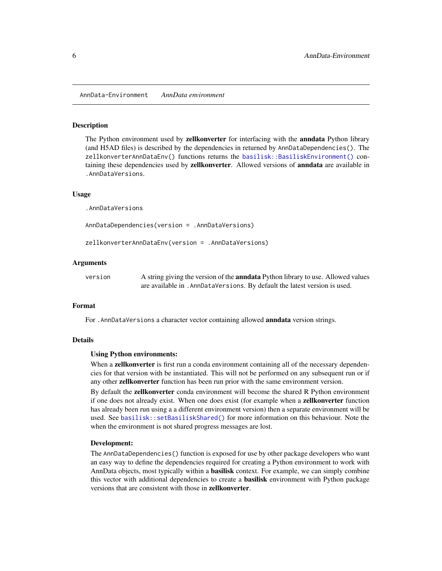#### <span id="page-5-1"></span><span id="page-5-0"></span>Description

The Python environment used by zellkonverter for interfacing with the anndata Python library (and H5AD files) is described by the dependencies in returned by AnnDataDependencies(). The zellkonverterAnnDataEnv() functions returns the [basilisk::BasiliskEnvironment\(\)](#page-0-0) containing these dependencies used by **zellkonverter**. Allowed versions of **anndata** are available in .AnnDataVersions.

### Usage

.AnnDataVersions

AnnDataDependencies(version = .AnnDataVersions)

zellkonverterAnnDataEnv(version = .AnnDataVersions)

# Arguments

| version | A string giving the version of the <b>annotatical</b> Python library to use. Allowed values |
|---------|---------------------------------------------------------------------------------------------|
|         | are available in . AnnDataVersions. By default the latest version is used.                  |

#### Format

For . AnnDataVersions a character vector containing allowed **anndata** version strings.

#### Details

#### Using Python environments:

When a **zellkonverter** is first run a conda environment containing all of the necessary dependencies for that version with be instantiated. This will not be performed on any subsequent run or if any other zellkonverter function has been run prior with the same environment version.

By default the zellkonverter conda environment will become the shared R Python environment if one does not already exist. When one does exist (for example when a zellkonverter function has already been run using a a different environment version) then a separate environment will be used. See [basilisk::setBasiliskShared\(\)](#page-0-0) for more information on this behaviour. Note the when the environment is not shared progress messages are lost.

# Development:

The AnnDataDependencies() function is exposed for use by other package developers who want an easy way to define the dependencies required for creating a Python environment to work with AnnData objects, most typically within a basilisk context. For example, we can simply combine this vector with additional dependencies to create a basilisk environment with Python package versions that are consistent with those in zellkonverter.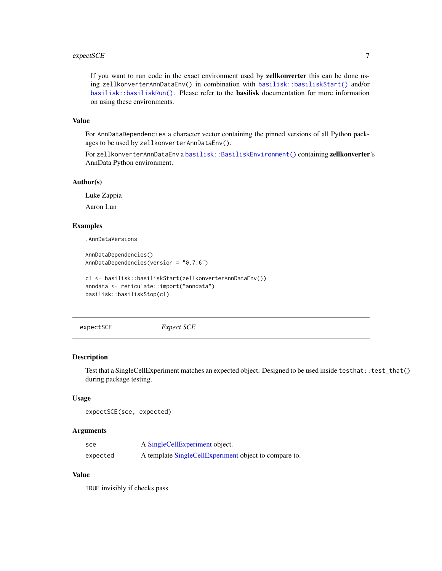#### <span id="page-6-0"></span>expectSCE 7

If you want to run code in the exact environment used by zellkonverter this can be done using zellkonverterAnnDataEnv() in combination with [basilisk::basiliskStart\(\)](#page-0-0) and/or [basilisk::basiliskRun\(\)](#page-0-0). Please refer to the **basilisk** documentation for more information on using these environments.

# Value

For AnnDataDependencies a character vector containing the pinned versions of all Python packages to be used by zellkonverterAnnDataEnv().

For zellkonverterAnnDataEnv a [basilisk::BasiliskEnvironment\(\)](#page-0-0) containing zellkonverter's AnnData Python environment.

#### Author(s)

Luke Zappia

Aaron Lun

# Examples

.AnnDataVersions

```
AnnDataDependencies()
AnnDataDependencies(version = "0.7.6")
```

```
cl <- basilisk::basiliskStart(zellkonverterAnnDataEnv())
anndata <- reticulate::import("anndata")
basilisk::basiliskStop(cl)
```
expectSCE *Expect SCE*

# Description

Test that a SingleCellExperiment matches an expected object. Designed to be used inside testhat::test\_that() during package testing.

#### Usage

```
expectSCE(sce, expected)
```
#### Arguments

| sce      | A SingleCellExperiment object.                        |
|----------|-------------------------------------------------------|
| expected | A template SingleCellExperiment object to compare to. |

# Value

TRUE invisibly if checks pass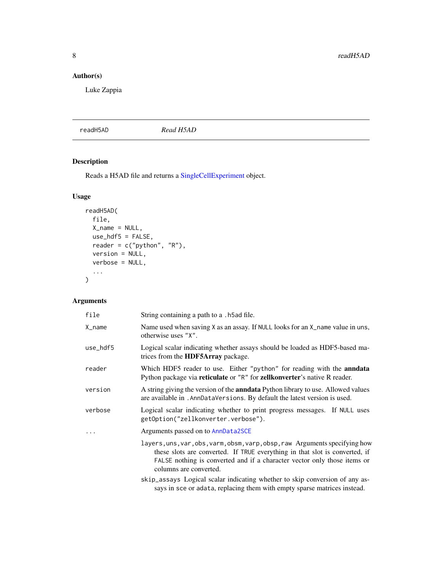# <span id="page-7-0"></span>Author(s)

Luke Zappia

# <span id="page-7-1"></span>readH5AD *Read H5AD*

# Description

Reads a H5AD file and returns a [SingleCellExperiment](#page-0-0) object.

# Usage

```
readH5AD(
  file,
  X_name = NULL,
  use_hdf5 = FALSE,
 reader = c("python", "R"),
  version = NULL,
  verbose = NULL,
  ...
\mathcal{L}
```
# Arguments

| file                | String containing a path to a . h5ad file.                                                                                                                                                                                                                       |
|---------------------|------------------------------------------------------------------------------------------------------------------------------------------------------------------------------------------------------------------------------------------------------------------|
| $X$ <sub>name</sub> | Name used when saving X as an assay. If NULL looks for an X_name value in uns,<br>otherwise uses "X".                                                                                                                                                            |
| use_hdf5            | Logical scalar indicating whether assays should be loaded as HDF5-based ma-<br>trices from the <b>HDF5Array</b> package.                                                                                                                                         |
| reader              | Which HDF5 reader to use. Either "python" for reading with the <b>anndata</b><br>Python package via reticulate or "R" for zellkonverter's native R reader.                                                                                                       |
| version             | A string giving the version of the <b>anndata</b> Python library to use. Allowed values<br>are available in . AnnDataVersions. By default the latest version is used.                                                                                            |
| verbose             | Logical scalar indicating whether to print progress messages. If NULL uses<br>getOption("zellkonverter.verbose").                                                                                                                                                |
|                     | Arguments passed on to AnnData2SCE                                                                                                                                                                                                                               |
|                     | layers, uns, var, obs, varm, obsm, varp, obsp, raw Arguments specifying how<br>these slots are converted. If TRUE everything in that slot is converted, if<br>FALSE nothing is converted and if a character vector only those items or<br>columns are converted. |
|                     | skip_assays Logical scalar indicating whether to skip conversion of any as-<br>says in sce or adata, replacing them with empty sparse matrices instead.                                                                                                          |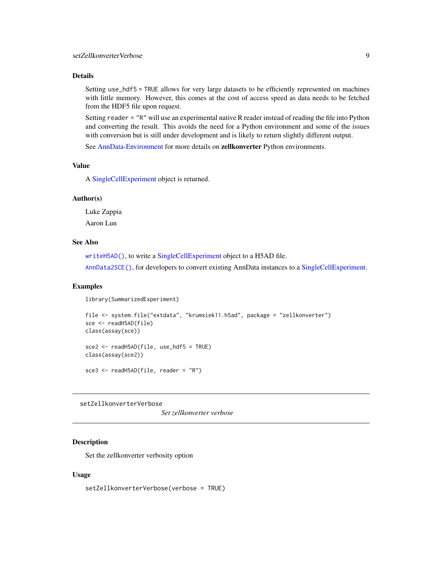# <span id="page-8-0"></span>Details

Setting use\_hdf5 = TRUE allows for very large datasets to be efficiently represented on machines with little memory. However, this comes at the cost of access speed as data needs to be fetched from the HDF5 file upon request.

Setting reader = "R" will use an experimental native R reader instead of reading the file into Python and converting the result. This avoids the need for a Python environment and some of the issues with conversion but is still under development and is likely to return slightly different output.

See [AnnData-Environment](#page-5-1) for more details on zellkonverter Python environments.

# Value

A [SingleCellExperiment](#page-0-0) object is returned.

# Author(s)

Luke Zappia Aaron Lun

# See Also

[writeH5AD\(\)](#page-10-1), to write a [SingleCellExperiment](#page-0-0) object to a H5AD file.

[AnnData2SCE\(\)](#page-2-1), for developers to convert existing AnnData instances to a [SingleCellExperiment.](#page-0-0)

### Examples

library(SummarizedExperiment)

```
file <- system.file("extdata", "krumsiek11.h5ad", package = "zellkonverter")
sce <- readH5AD(file)
class(assay(sce))
sce2 <- readH5AD(file, use_hdf5 = TRUE)
class(assay(sce2))
sce3 <- readH5AD(file, reader = "R")
```
setZellkonverterVerbose

*Set zellkonverter verbose*

# Description

Set the zellkonverter verbosity option

### Usage

setZellkonverterVerbose(verbose = TRUE)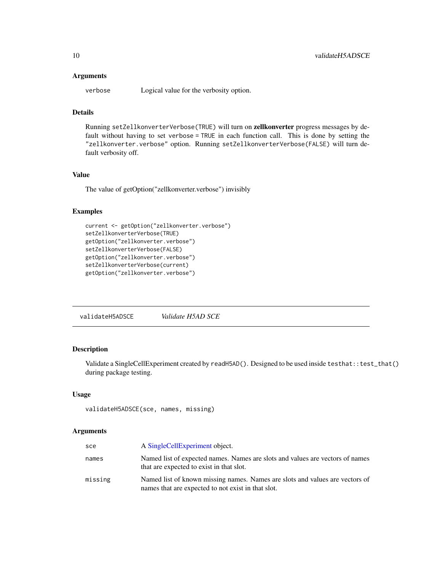#### <span id="page-9-0"></span>Arguments

verbose Logical value for the verbosity option.

# Details

Running setZellkonverterVerbose(TRUE) will turn on zellkonverter progress messages by default without having to set verbose = TRUE in each function call. This is done by setting the "zellkonverter.verbose" option. Running setZellkonverterVerbose(FALSE) will turn default verbosity off.

# Value

The value of getOption("zellkonverter.verbose") invisibly

# Examples

```
current <- getOption("zellkonverter.verbose")
setZellkonverterVerbose(TRUE)
getOption("zellkonverter.verbose")
setZellkonverterVerbose(FALSE)
getOption("zellkonverter.verbose")
setZellkonverterVerbose(current)
getOption("zellkonverter.verbose")
```
validateH5ADSCE *Validate H5AD SCE*

# Description

Validate a SingleCellExperiment created by readH5AD(). Designed to be used inside testhat::test\_that() during package testing.

### Usage

```
validateH5ADSCE(sce, names, missing)
```
#### Arguments

| sce     | A SingleCellExperiment object.                                                                                                     |
|---------|------------------------------------------------------------------------------------------------------------------------------------|
| names   | Named list of expected names. Names are slots and values are vectors of names<br>that are expected to exist in that slot.          |
| missing | Named list of known missing names. Names are slots and values are vectors of<br>names that are expected to not exist in that slot. |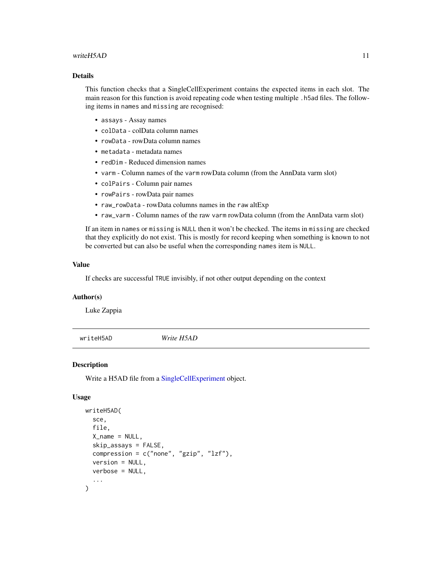### <span id="page-10-0"></span>writeH5AD 11

# Details

This function checks that a SingleCellExperiment contains the expected items in each slot. The main reason for this function is avoid repeating code when testing multiple .h5ad files. The following items in names and missing are recognised:

- assays Assay names
- colData colData column names
- rowData rowData column names
- metadata metadata names
- redDim Reduced dimension names
- varm Column names of the varm rowData column (from the AnnData varm slot)
- colPairs Column pair names
- rowPairs rowData pair names
- raw\_rowData rowData columns names in the raw altExp
- raw\_varm Column names of the raw varm rowData column (from the AnnData varm slot)

If an item in names or missing is NULL then it won't be checked. The items in missing are checked that they explicitly do not exist. This is mostly for record keeping when something is known to not be converted but can also be useful when the corresponding names item is NULL.

#### Value

If checks are successful TRUE invisibly, if not other output depending on the context

# Author(s)

Luke Zappia

<span id="page-10-1"></span>writeH5AD *Write H5AD*

#### Description

Write a H5AD file from a [SingleCellExperiment](#page-0-0) object.

# Usage

```
writeH5AD(
  sce,
  file,
  X_name = NULL,
  skip_assays = FALSE,
  compression = c("none", "gzip", "lsf"),version = NULL,
 verbose = NULL,
  ...
)
```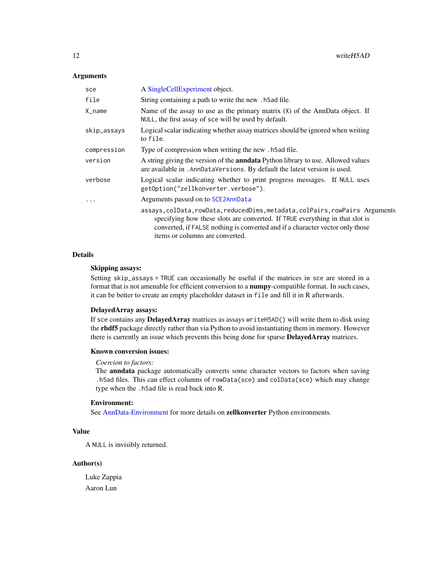#### <span id="page-11-0"></span>Arguments

| sce         | A SingleCellExperiment object.                                                                                                                                                                                                                                                    |
|-------------|-----------------------------------------------------------------------------------------------------------------------------------------------------------------------------------------------------------------------------------------------------------------------------------|
| file        | String containing a path to write the new . h5ad file.                                                                                                                                                                                                                            |
| X_name      | Name of the assay to use as the primary matrix $(X)$ of the AnnData object. If<br>NULL, the first assay of sce will be used by default.                                                                                                                                           |
| skip_assays | Logical scalar indicating whether assay matrices should be ignored when writing<br>to file.                                                                                                                                                                                       |
| compression | Type of compression when writing the new . h5ad file.                                                                                                                                                                                                                             |
| version     | A string giving the version of the <b>annotatical</b> Python library to use. Allowed values<br>are available in . AnnDataVersions. By default the latest version is used.                                                                                                         |
| verbose     | Logical scalar indicating whether to print progress messages. If NULL uses<br>getOption("zellkonverter.verbose").                                                                                                                                                                 |
| .           | Arguments passed on to SCE2AnnData                                                                                                                                                                                                                                                |
|             | assays, colData, rowData, reducedDims, metadata, colPairs, rowPairs Arguments<br>specifying how these slots are converted. If TRUE everything in that slot is<br>converted, if FALSE nothing is converted and if a character vector only those<br>items or columns are converted. |

# Details

# Skipping assays:

Setting skip\_assays = TRUE can occasionally be useful if the matrices in sce are stored in a format that is not amenable for efficient conversion to a numpy-compatible format. In such cases, it can be better to create an empty placeholder dataset in file and fill it in R afterwards.

#### DelayedArray assays:

If sce contains any DelayedArray matrices as assays writeH5AD() will write them to disk using the rhdf5 package directly rather than via Python to avoid instantiating them in memory. However there is currently an issue which prevents this being done for sparse DelayedArray matrices.

#### Known conversion issues:

#### *Coercion to factors:*

The anndata package automatically converts some character vectors to factors when saving .h5ad files. This can effect columns of rowData(sce) and colData(sce) which may change type when the .h5ad file is read back into R.

### Environment:

See [AnnData-Environment](#page-5-1) for more details on zellkonverter Python environments.

# Value

A NULL is invisibly returned.

### Author(s)

Luke Zappia Aaron Lun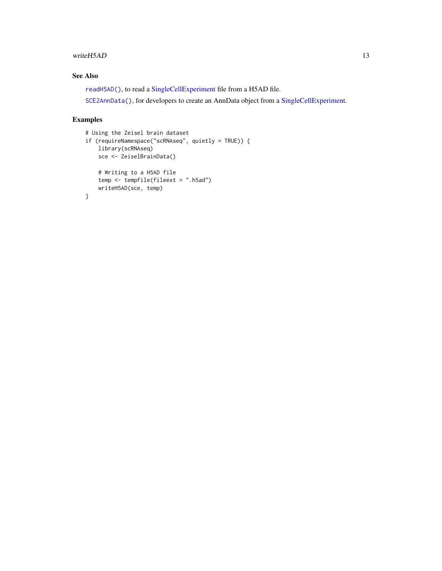#### <span id="page-12-0"></span>writeH5AD 13

# See Also

[readH5AD\(\)](#page-7-1), to read a [SingleCellExperiment](#page-0-0) file from a H5AD file.

[SCE2AnnData\(\)](#page-2-1), for developers to create an AnnData object from a [SingleCellExperiment.](#page-0-0)

# Examples

```
# Using the Zeisel brain dataset
if (requireNamespace("scRNAseq", quietly = TRUE)) {
   library(scRNAseq)
   sce <- ZeiselBrainData()
   # Writing to a H5AD file
   temp <- tempfile(fileext = ".h5ad")
   writeH5AD(sce, temp)
}
```